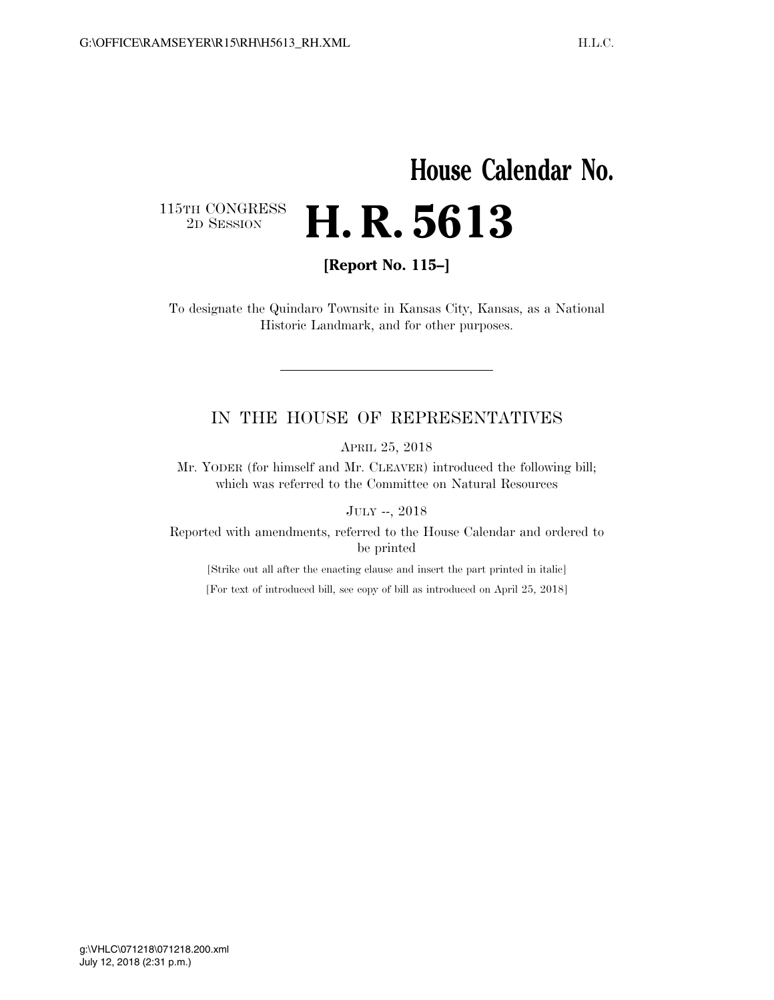## **House Calendar No.**  115TH CONGRESS<br>2D SESSION 2D SESSION **H. R. 5613**

**[Report No. 115–]** 

To designate the Quindaro Townsite in Kansas City, Kansas, as a National Historic Landmark, and for other purposes.

## IN THE HOUSE OF REPRESENTATIVES

APRIL 25, 2018

Mr. YODER (for himself and Mr. CLEAVER) introduced the following bill; which was referred to the Committee on Natural Resources

JULY --, 2018

Reported with amendments, referred to the House Calendar and ordered to be printed

[Strike out all after the enacting clause and insert the part printed in italic] [For text of introduced bill, see copy of bill as introduced on April 25, 2018]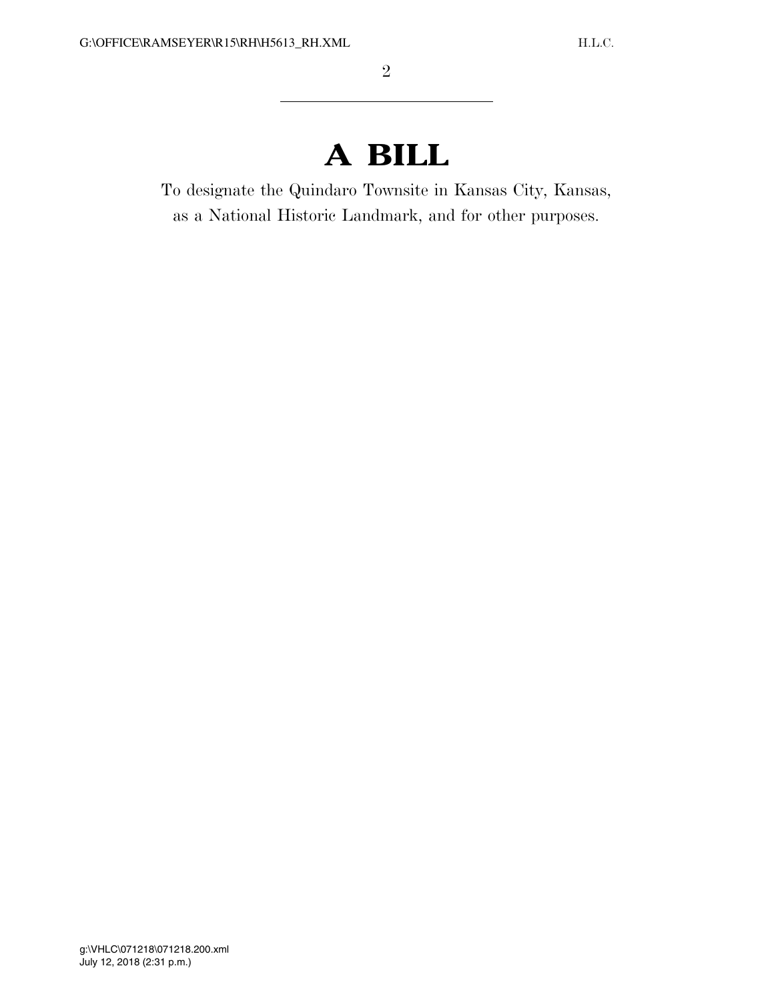## **A BILL**

To designate the Quindaro Townsite in Kansas City, Kansas, as a National Historic Landmark, and for other purposes.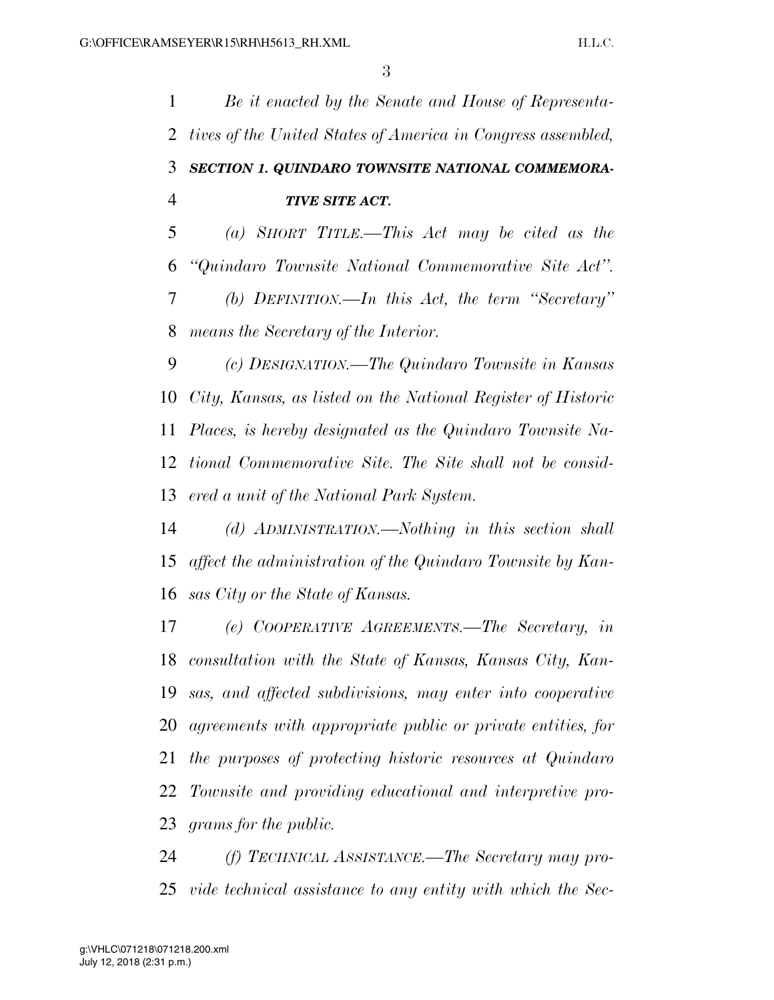*Be it enacted by the Senate and House of Representa- tives of the United States of America in Congress assembled, SECTION 1. QUINDARO TOWNSITE NATIONAL COMMEMORA- TIVE SITE ACT. (a) SHORT TITLE.—This Act may be cited as the ''Quindaro Townsite National Commemorative Site Act''. (b) DEFINITION.—In this Act, the term ''Secretary'' means the Secretary of the Interior. (c) DESIGNATION.—The Quindaro Townsite in Kansas City, Kansas, as listed on the National Register of Historic Places, is hereby designated as the Quindaro Townsite Na- tional Commemorative Site. The Site shall not be consid- ered a unit of the National Park System. (d) ADMINISTRATION.—Nothing in this section shall affect the administration of the Quindaro Townsite by Kan-sas City or the State of Kansas.* 

 *(e) COOPERATIVE AGREEMENTS.—The Secretary, in consultation with the State of Kansas, Kansas City, Kan- sas, and affected subdivisions, may enter into cooperative agreements with appropriate public or private entities, for the purposes of protecting historic resources at Quindaro Townsite and providing educational and interpretive pro-grams for the public.* 

 *(f) TECHNICAL ASSISTANCE.—The Secretary may pro-vide technical assistance to any entity with which the Sec-*